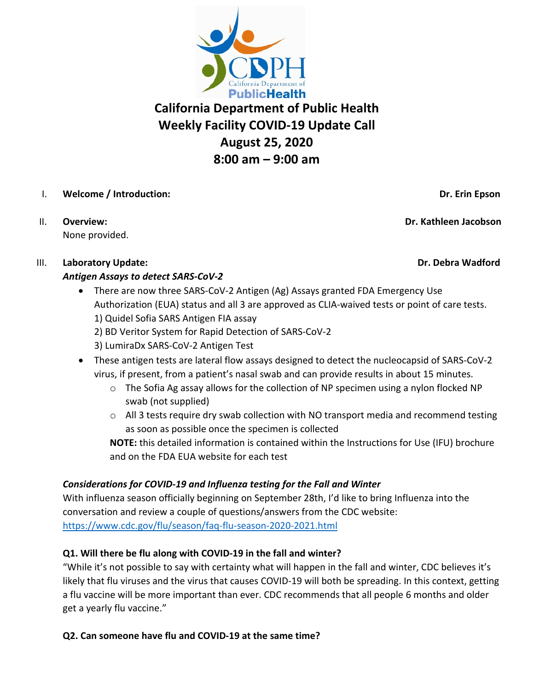

# **California Department of Public Health Weekly Facility COVID-19 Update Call August 25, 2020 8:00 am – 9:00 am**

- I. **Welcome / Introduction: Dr. Erin Epson**
- None provided.

III. **Laboratory Update: Dr. Debra Wadford**

# *Antigen Assays to detect SARS-CoV-2*

- There are now three SARS-CoV-2 Antigen (Ag) Assays granted FDA Emergency Use Authorization (EUA) status and all 3 are approved as CLIA-waived tests or point of care tests. 1) Quidel Sofia SARS Antigen FIA assay 2) BD Veritor System for Rapid Detection of SARS-CoV-2
	- 3) LumiraDx SARS-CoV-2 Antigen Test
- These antigen tests are lateral flow assays designed to detect the nucleocapsid of SARS-CoV-2 virus, if present, from a patient's nasal swab and can provide results in about 15 minutes.
	- o The Sofia Ag assay allows for the collection of NP specimen using a nylon flocked NP swab (not supplied)
	- $\circ$  All 3 tests require dry swab collection with NO transport media and recommend testing as soon as possible once the specimen is collected

**NOTE:** this detailed information is contained within the Instructions for Use (IFU) brochure and on the FDA EUA website for each test

# *Considerations for COVID-19 and Influenza testing for the Fall and Winter*

With influenza season officially beginning on September 28th, I'd like to bring Influenza into the conversation and review a couple of questions/answers from the CDC website: <https://www.cdc.gov/flu/season/faq-flu-season-2020-2021.html>

# **Q1. Will there be flu along with COVID-19 in the fall and winter?**

"While it's not possible to say with certainty what will happen in the fall and winter, CDC believes it's likely that flu viruses and the virus that causes COVID-19 will both be spreading. In this context, getting a flu vaccine will be more important than ever. CDC recommends that all people 6 months and older get a yearly flu vaccine."

# **Q2. Can someone have flu and COVID-19 at the same time?**

II. **Overview: Dr. Kathleen Jacobson**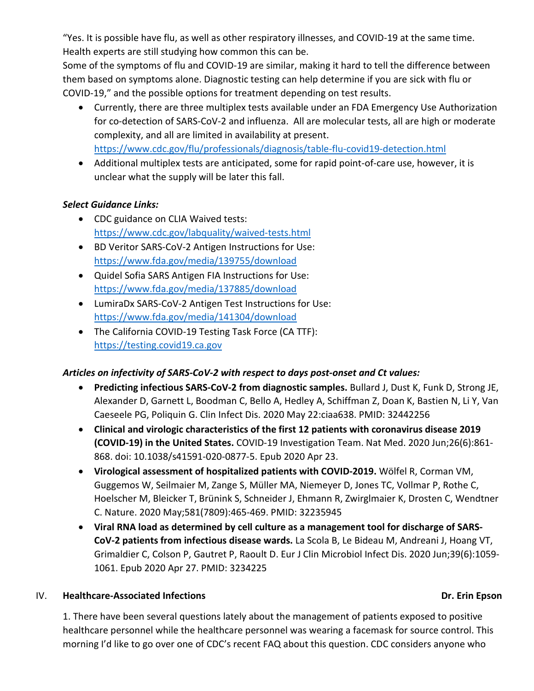"Yes. It is possible have flu, as well as other respiratory illnesses, and COVID-19 at the same time. Health experts are still studying how common this can be.

Some of the symptoms of flu and COVID-19 are similar, making it hard to tell the difference between them based on symptoms alone. Diagnostic testing can help determine if you are sick with flu or COVID-19," and the possible options for treatment depending on test results.

- Currently, there are three multiplex tests available under an FDA Emergency Use Authorization for co-detection of SARS-CoV-2 and influenza. All are molecular tests, all are high or moderate complexity, and all are limited in availability at present. <https://www.cdc.gov/flu/professionals/diagnosis/table-flu-covid19-detection.html>
- Additional multiplex tests are anticipated, some for rapid point-of-care use, however, it is unclear what the supply will be later this fall.

### *Select Guidance Links:*

- CDC guidance on CLIA Waived tests: <https://www.cdc.gov/labquality/waived-tests.html>
- BD Veritor SARS-CoV-2 Antigen Instructions for Use: <https://www.fda.gov/media/139755/download>
- Quidel Sofia SARS Antigen FIA Instructions for Use: <https://www.fda.gov/media/137885/download>
- LumiraDx SARS-CoV-2 Antigen Test Instructions for Use: <https://www.fda.gov/media/141304/download>
- The California COVID-19 Testing Task Force (CA TTF): [https://testing.covid19.ca.gov](https://testing.covid19.ca.gov/)

# *Articles on infectivity of SARS-CoV-2 with respect to days post-onset and Ct values:*

- **Predicting infectious SARS-CoV-2 from diagnostic samples.** Bullard J, Dust K, Funk D, Strong JE, Alexander D, Garnett L, Boodman C, Bello A, Hedley A, Schiffman Z, Doan K, Bastien N, Li Y, Van Caeseele PG, Poliquin G. Clin Infect Dis. 2020 May 22:ciaa638. PMID: 32442256
- **Clinical and virologic characteristics of the first 12 patients with coronavirus disease 2019 (COVID-19) in the United States.** COVID-19 Investigation Team. Nat Med. 2020 Jun;26(6):861- 868. doi: 10.1038/s41591-020-0877-5. Epub 2020 Apr 23.
- **Virological assessment of hospitalized patients with COVID-2019.** Wölfel R, Corman VM, Guggemos W, Seilmaier M, Zange S, Müller MA, Niemeyer D, Jones TC, Vollmar P, Rothe C, Hoelscher M, Bleicker T, Brünink S, Schneider J, Ehmann R, Zwirglmaier K, Drosten C, Wendtner C. Nature. 2020 May;581(7809):465-469. PMID: 32235945
- **Viral RNA load as determined by cell culture as a management tool for discharge of SARS-CoV-2 patients from infectious disease wards.** La Scola B, Le Bideau M, Andreani J, Hoang VT, Grimaldier C, Colson P, Gautret P, Raoult D. Eur J Clin Microbiol Infect Dis. 2020 Jun;39(6):1059- 1061. Epub 2020 Apr 27. PMID: 3234225

#### IV. **Healthcare-Associated Infections Dr. Erin Epson**

1. There have been several questions lately about the management of patients exposed to positive healthcare personnel while the healthcare personnel was wearing a facemask for source control. This morning I'd like to go over one of CDC's recent FAQ about this question. CDC considers anyone who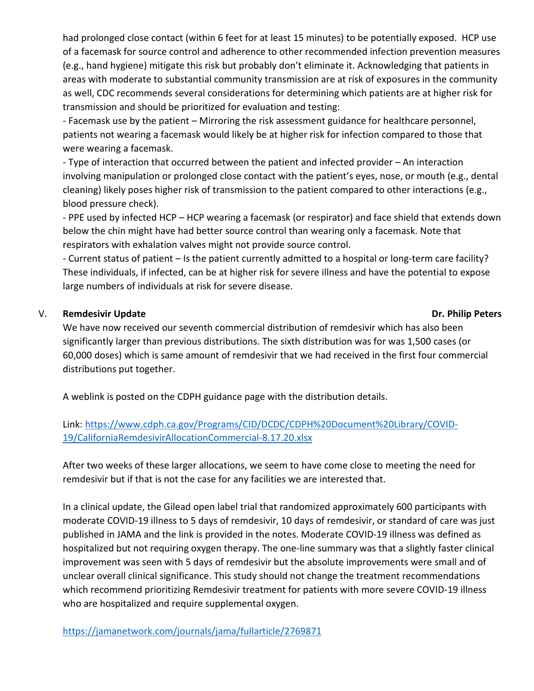had prolonged close contact (within 6 feet for at least 15 minutes) to be potentially exposed. HCP use of a facemask for source control and adherence to other recommended infection prevention measures (e.g., hand hygiene) mitigate this risk but probably don't eliminate it. Acknowledging that patients in areas with moderate to substantial community transmission are at risk of exposures in the community as well, CDC recommends several considerations for determining which patients are at higher risk for transmission and should be prioritized for evaluation and testing:

- Facemask use by the patient – Mirroring the risk assessment guidance for healthcare personnel, patients not wearing a facemask would likely be at higher risk for infection compared to those that were wearing a facemask.

- Type of interaction that occurred between the patient and infected provider – An interaction involving manipulation or prolonged close contact with the patient's eyes, nose, or mouth (e.g., dental cleaning) likely poses higher risk of transmission to the patient compared to other interactions (e.g., blood pressure check).

- PPE used by infected HCP – HCP wearing a facemask (or respirator) and face shield that extends down below the chin might have had better source control than wearing only a facemask. Note that respirators with exhalation valves might not provide source control.

- Current status of patient – Is the patient currently admitted to a hospital or long-term care facility? These individuals, if infected, can be at higher risk for severe illness and have the potential to expose large numbers of individuals at risk for severe disease.

#### V. Remdesivir Update **Dr. Philip Peters**

We have now received our seventh commercial distribution of remdesivir which has also been significantly larger than previous distributions. The sixth distribution was for was 1,500 cases (or 60,000 doses) which is same amount of remdesivir that we had received in the first four commercial distributions put together.

A weblink is posted on the CDPH guidance page with the distribution details.

Link: [https://www.cdph.ca.gov/Programs/CID/DCDC/CDPH%20Document%20Library/COVID-](https://www.cdph.ca.gov/Programs/CID/DCDC/CDPH%20Document%20Library/COVID-19/CaliforniaRemdesivirAllocationCommercial-8.17.20.xlsx)[19/CaliforniaRemdesivirAllocationCommercial-8.17.20.xlsx](https://www.cdph.ca.gov/Programs/CID/DCDC/CDPH%20Document%20Library/COVID-19/CaliforniaRemdesivirAllocationCommercial-8.17.20.xlsx)

After two weeks of these larger allocations, we seem to have come close to meeting the need for remdesivir but if that is not the case for any facilities we are interested that.

In a clinical update, the Gilead open label trial that randomized approximately 600 participants with moderate COVID-19 illness to 5 days of remdesivir, 10 days of remdesivir, or standard of care was just published in JAMA and the link is provided in the notes. Moderate COVID-19 illness was defined as hospitalized but not requiring oxygen therapy. The one-line summary was that a slightly faster clinical improvement was seen with 5 days of remdesivir but the absolute improvements were small and of unclear overall clinical significance. This study should not change the treatment recommendations which recommend prioritizing Remdesivir treatment for patients with more severe COVID-19 illness who are hospitalized and require supplemental oxygen.

<https://jamanetwork.com/journals/jama/fullarticle/2769871>